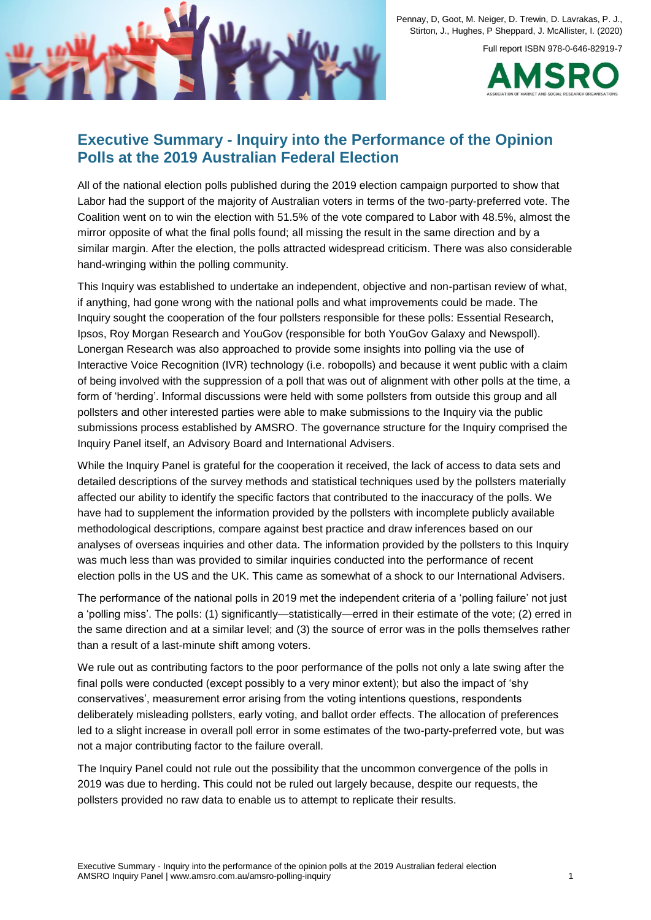

Full report ISBN 978-0-646-82919-7



# **Executive Summary - Inquiry into the Performance of the Opinion Polls at the 2019 Australian Federal Election**

All of the national election polls published during the 2019 election campaign purported to show that Labor had the support of the majority of Australian voters in terms of the two-party-preferred vote. The Coalition went on to win the election with 51.5% of the vote compared to Labor with 48.5%, almost the mirror opposite of what the final polls found; all missing the result in the same direction and by a similar margin. After the election, the polls attracted widespread criticism. There was also considerable hand-wringing within the polling community.

This Inquiry was established to undertake an independent, objective and non-partisan review of what, if anything, had gone wrong with the national polls and what improvements could be made. The Inquiry sought the cooperation of the four pollsters responsible for these polls: Essential Research, Ipsos, Roy Morgan Research and YouGov (responsible for both YouGov Galaxy and Newspoll). Lonergan Research was also approached to provide some insights into polling via the use of Interactive Voice Recognition (IVR) technology (i.e. robopolls) and because it went public with a claim of being involved with the suppression of a poll that was out of alignment with other polls at the time, a form of 'herding'. Informal discussions were held with some pollsters from outside this group and all pollsters and other interested parties were able to make submissions to the Inquiry via the public submissions process established by AMSRO. The governance structure for the Inquiry comprised the Inquiry Panel itself, an Advisory Board and International Advisers.

While the Inquiry Panel is grateful for the cooperation it received, the lack of access to data sets and detailed descriptions of the survey methods and statistical techniques used by the pollsters materially affected our ability to identify the specific factors that contributed to the inaccuracy of the polls. We have had to supplement the information provided by the pollsters with incomplete publicly available methodological descriptions, compare against best practice and draw inferences based on our analyses of overseas inquiries and other data. The information provided by the pollsters to this Inquiry was much less than was provided to similar inquiries conducted into the performance of recent election polls in the US and the UK. This came as somewhat of a shock to our International Advisers.

The performance of the national polls in 2019 met the independent criteria of a 'polling failure' not just a 'polling miss'. The polls: (1) significantly—statistically—erred in their estimate of the vote; (2) erred in the same direction and at a similar level; and (3) the source of error was in the polls themselves rather than a result of a last-minute shift among voters.

We rule out as contributing factors to the poor performance of the polls not only a late swing after the final polls were conducted (except possibly to a very minor extent); but also the impact of 'shy conservatives', measurement error arising from the voting intentions questions, respondents deliberately misleading pollsters, early voting, and ballot order effects. The allocation of preferences led to a slight increase in overall poll error in some estimates of the two-party-preferred vote, but was not a major contributing factor to the failure overall.

The Inquiry Panel could not rule out the possibility that the uncommon convergence of the polls in 2019 was due to herding. This could not be ruled out largely because, despite our requests, the pollsters provided no raw data to enable us to attempt to replicate their results.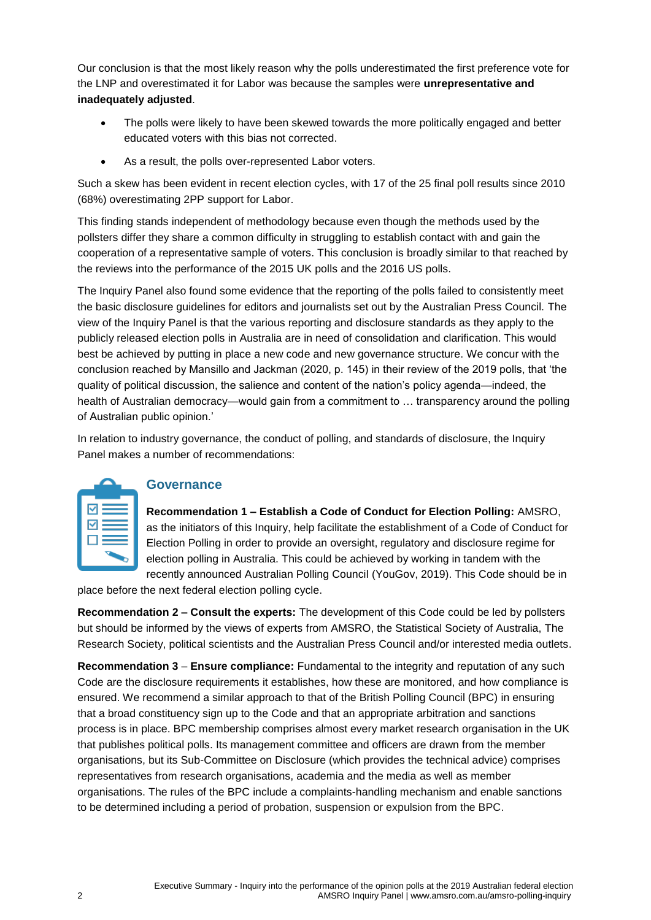Our conclusion is that the most likely reason why the polls underestimated the first preference vote for the LNP and overestimated it for Labor was because the samples were **unrepresentative and inadequately adjusted**.

- The polls were likely to have been skewed towards the more politically engaged and better educated voters with this bias not corrected.
- As a result, the polls over-represented Labor voters.

Such a skew has been evident in recent election cycles, with 17 of the 25 final poll results since 2010 (68%) overestimating 2PP support for Labor.

This finding stands independent of methodology because even though the methods used by the pollsters differ they share a common difficulty in struggling to establish contact with and gain the cooperation of a representative sample of voters. This conclusion is broadly similar to that reached by the reviews into the performance of the 2015 UK polls and the 2016 US polls.

The Inquiry Panel also found some evidence that the reporting of the polls failed to consistently meet the basic disclosure guidelines for editors and journalists set out by the Australian Press Council. The view of the Inquiry Panel is that the various reporting and disclosure standards as they apply to the publicly released election polls in Australia are in need of consolidation and clarification. This would best be achieved by putting in place a new code and new governance structure. We concur with the conclusion reached by Mansillo and Jackman (2020, p. 145) in their review of the 2019 polls, that 'the quality of political discussion, the salience and content of the nation's policy agenda—indeed, the health of Australian democracy—would gain from a commitment to … transparency around the polling of Australian public opinion.'

In relation to industry governance, the conduct of polling, and standards of disclosure, the Inquiry Panel makes a number of recommendations:

| ✓<br>M |                          |  |
|--------|--------------------------|--|
|        | $\overline{\phantom{a}}$ |  |

### **Governance**

**Recommendation 1 – Establish a Code of Conduct for Election Polling:** AMSRO, as the initiators of this Inquiry, help facilitate the establishment of a Code of Conduct for Election Polling in order to provide an oversight, regulatory and disclosure regime for election polling in Australia. This could be achieved by working in tandem with the recently announced Australian Polling Council (YouGov, 2019). This Code should be in

place before the next federal election polling cycle.

**Recommendation 2 – Consult the experts:** The development of this Code could be led by pollsters but should be informed by the views of experts from AMSRO, the Statistical Society of Australia, The Research Society, political scientists and the Australian Press Council and/or interested media outlets.

**Recommendation 3** – **Ensure compliance:** Fundamental to the integrity and reputation of any such Code are the disclosure requirements it establishes, how these are monitored, and how compliance is ensured. We recommend a similar approach to that of the British Polling Council (BPC) in ensuring that a broad constituency sign up to the Code and that an appropriate arbitration and sanctions process is in place. BPC membership comprises almost every market research organisation in the UK that publishes political polls. Its management committee and officers are drawn from the member organisations, but its Sub-Committee on Disclosure (which provides the technical advice) comprises representatives from research organisations, academia and the media as well as member organisations. The rules of the BPC include a complaints-handling mechanism and enable sanctions to be determined including a period of probation, suspension or expulsion from the BPC.